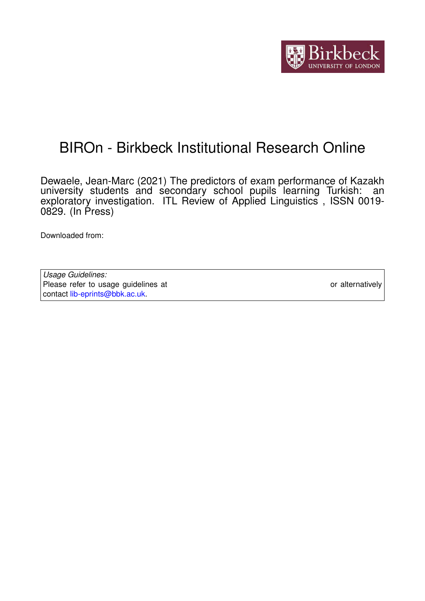

# BIROn - Birkbeck Institutional Research Online

Dewaele, Jean-Marc (2021) The predictors of exam performance of Kazakh university students and secondary school pupils learning Turkish: an exploratory investigation. ITL Review of Applied Linguistics , ISSN 0019- 0829. (In Press)

Downloaded from: <https://eprints.bbk.ac.uk/id/eprint/46714/>

*Usage Guidelines:* Please refer to usage guidelines at <https://eprints.bbk.ac.uk/policies.html> or alternatively contact [lib-eprints@bbk.ac.uk.](mailto:lib-eprints@bbk.ac.uk)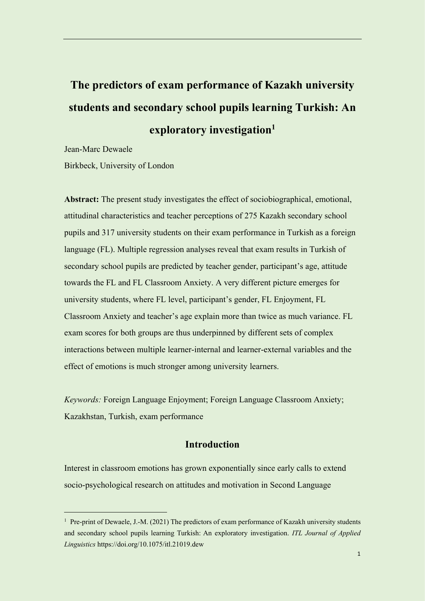# **The predictors of exam performance of Kazakh university students and secondary school pupils learning Turkish: An exploratory investigation<sup>1</sup>**

Jean-Marc Dewaele

 $\overline{a}$ 

Birkbeck, University of London

**Abstract:** The present study investigates the effect of sociobiographical, emotional, attitudinal characteristics and teacher perceptions of 275 Kazakh secondary school pupils and 317 university students on their exam performance in Turkish as a foreign language (FL). Multiple regression analyses reveal that exam results in Turkish of secondary school pupils are predicted by teacher gender, participant's age, attitude towards the FL and FL Classroom Anxiety. A very different picture emerges for university students, where FL level, participant's gender, FL Enjoyment, FL Classroom Anxiety and teacher's age explain more than twice as much variance. FL exam scores for both groups are thus underpinned by different sets of complex interactions between multiple learner-internal and learner-external variables and the effect of emotions is much stronger among university learners.

*Keywords:* Foreign Language Enjoyment; Foreign Language Classroom Anxiety; Kazakhstan, Turkish, exam performance

# **Introduction**

Interest in classroom emotions has grown exponentially since early calls to extend socio-psychological research on attitudes and motivation in Second Language

<sup>&</sup>lt;sup>1</sup> Pre-print of Dewaele, J.-M. (2021) The predictors of exam performance of Kazakh university students and secondary school pupils learning Turkish: An exploratory investigation. *ITL Journal of Applied Linguistics* https://doi.org/10.1075/itl.21019.dew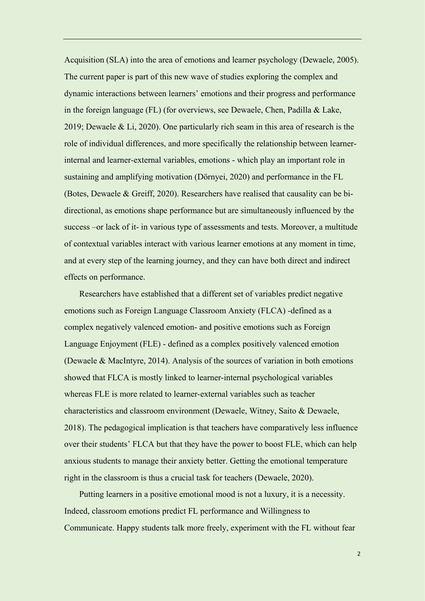Acquisition (SLA) into the area of emotions and learner psychology (Dewaele, 2005). The current paper is part of this new wave of studies exploring the complex and dynamic interactions between learners' emotions and their progress and performance in the foreign language (FL) (for overviews, see Dewaele, Chen, Padilla & Lake, 2019; Dewaele & Li, 2020). One particularly rich seam in this area of research is the role of individual differences, and more specifically the relationship between learnerinternal and learner-external variables, emotions - which play an important role in sustaining and amplifying motivation (Dörnyei, 2020) and performance in the FL (Botes, Dewaele & Greiff, 2020). Researchers have realised that causality can be bidirectional, as emotions shape performance but are simultaneously influenced by the success –or lack of it- in various type of assessments and tests. Moreover, a multitude of contextual variables interact with various learner emotions at any moment in time, and at every step of the learning journey, and they can have both direct and indirect effects on performance.

Researchers have established that a different set of variables predict negative emotions such as Foreign Language Classroom Anxiety (FLCA) -defined as a complex negatively valenced emotion- and positive emotions such as Foreign Language Enjoyment (FLE) - defined as a complex positively valenced emotion (Dewaele & MacIntyre, 2014). Analysis of the sources of variation in both emotions showed that FLCA is mostly linked to learner-internal psychological variables whereas FLE is more related to learner-external variables such as teacher characteristics and classroom environment (Dewaele, Witney, Saito & Dewaele, 2018). The pedagogical implication is that teachers have comparatively less influence over their students' FLCA but that they have the power to boost FLE, which can help anxious students to manage their anxiety better. Getting the emotional temperature right in the classroom is thus a crucial task for teachers (Dewaele, 2020).

Putting learners in a positive emotional mood is not a luxury, it is a necessity. Indeed, classroom emotions predict FL performance and Willingness to Communicate. Happy students talk more freely, experiment with the FL without fear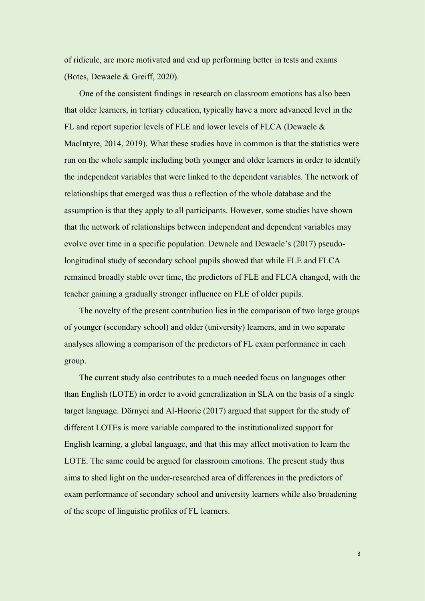of ridicule, are more motivated and end up performing better in tests and exams (Botes, Dewaele & Greiff, 2020).

One of the consistent findings in research on classroom emotions has also been that older learners, in tertiary education, typically have a more advanced level in the FL and report superior levels of FLE and lower levels of FLCA (Dewaele & MacIntyre, 2014, 2019). What these studies have in common is that the statistics were run on the whole sample including both younger and older learners in order to identify the independent variables that were linked to the dependent variables. The network of relationships that emerged was thus a reflection of the whole database and the assumption is that they apply to all participants. However, some studies have shown that the network of relationships between independent and dependent variables may evolve over time in a specific population. Dewaele and Dewaele's (2017) pseudolongitudinal study of secondary school pupils showed that while FLE and FLCA remained broadly stable over time, the predictors of FLE and FLCA changed, with the teacher gaining a gradually stronger influence on FLE of older pupils.

The novelty of the present contribution lies in the comparison of two large groups of younger (secondary school) and older (university) learners, and in two separate analyses allowing a comparison of the predictors of FL exam performance in each group.

The current study also contributes to a much needed focus on languages other than English (LOTE) in order to avoid generalization in SLA on the basis of a single target language. Dörnyei and Al-Hoorie (2017) argued that support for the study of different LOTEs is more variable compared to the institutionalized support for English learning, a global language, and that this may affect motivation to learn the LOTE. The same could be argued for classroom emotions. The present study thus aims to shed light on the under-researched area of differences in the predictors of exam performance of secondary school and university learners while also broadening of the scope of linguistic profiles of FL learners.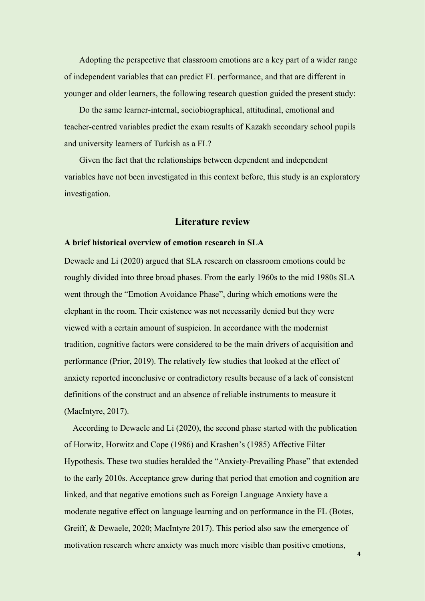Adopting the perspective that classroom emotions are a key part of a wider range of independent variables that can predict FL performance, and that are different in younger and older learners, the following research question guided the present study:

Do the same learner-internal, sociobiographical, attitudinal, emotional and teacher-centred variables predict the exam results of Kazakh secondary school pupils and university learners of Turkish as a FL?

Given the fact that the relationships between dependent and independent variables have not been investigated in this context before, this study is an exploratory investigation.

# **Literature review**

#### **A brief historical overview of emotion research in SLA**

Dewaele and Li (2020) argued that SLA research on classroom emotions could be roughly divided into three broad phases. From the early 1960s to the mid 1980s SLA went through the "Emotion Avoidance Phase", during which emotions were the elephant in the room. Their existence was not necessarily denied but they were viewed with a certain amount of suspicion. In accordance with the modernist tradition, cognitive factors were considered to be the main drivers of acquisition and performance (Prior, 2019). The relatively few studies that looked at the effect of anxiety reported inconclusive or contradictory results because of a lack of consistent definitions of the construct and an absence of reliable instruments to measure it (MacIntyre, 2017).

According to Dewaele and Li (2020), the second phase started with the publication of Horwitz, Horwitz and Cope (1986) and Krashen's (1985) Affective Filter Hypothesis. These two studies heralded the "Anxiety-Prevailing Phase" that extended to the early 2010s. Acceptance grew during that period that emotion and cognition are linked, and that negative emotions such as Foreign Language Anxiety have a moderate negative effect on language learning and on performance in the FL (Botes, Greiff, & Dewaele, 2020; MacIntyre 2017). This period also saw the emergence of motivation research where anxiety was much more visible than positive emotions,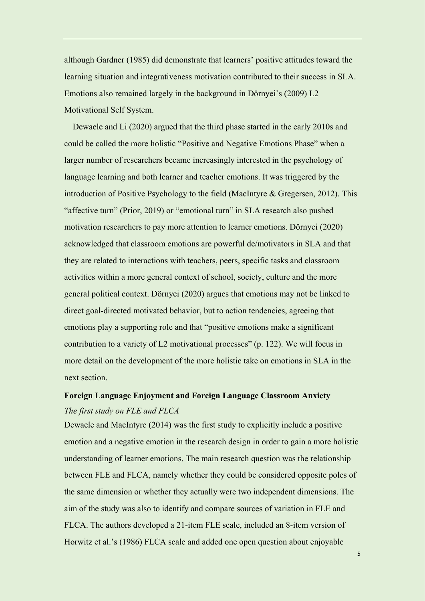although Gardner (1985) did demonstrate that learners' positive attitudes toward the learning situation and integrativeness motivation contributed to their success in SLA. Emotions also remained largely in the background in Dörnyei's (2009) L2 Motivational Self System.

Dewaele and Li (2020) argued that the third phase started in the early 2010s and could be called the more holistic "Positive and Negative Emotions Phase" when a larger number of researchers became increasingly interested in the psychology of language learning and both learner and teacher emotions. It was triggered by the introduction of Positive Psychology to the field (MacIntyre & Gregersen, 2012). This "affective turn" (Prior, 2019) or "emotional turn" in SLA research also pushed motivation researchers to pay more attention to learner emotions. Dörnyei (2020) acknowledged that classroom emotions are powerful de/motivators in SLA and that they are related to interactions with teachers, peers, specific tasks and classroom activities within a more general context of school, society, culture and the more general political context. Dörnyei (2020) argues that emotions may not be linked to direct goal-directed motivated behavior, but to action tendencies, agreeing that emotions play a supporting role and that "positive emotions make a significant contribution to a variety of L2 motivational processes" (p. 122). We will focus in more detail on the development of the more holistic take on emotions in SLA in the next section.

# **Foreign Language Enjoyment and Foreign Language Classroom Anxiety** *The first study on FLE and FLCA*

Dewaele and MacIntyre (2014) was the first study to explicitly include a positive emotion and a negative emotion in the research design in order to gain a more holistic understanding of learner emotions. The main research question was the relationship between FLE and FLCA, namely whether they could be considered opposite poles of the same dimension or whether they actually were two independent dimensions. The aim of the study was also to identify and compare sources of variation in FLE and FLCA. The authors developed a 21-item FLE scale, included an 8-item version of Horwitz et al.'s (1986) FLCA scale and added one open question about enjoyable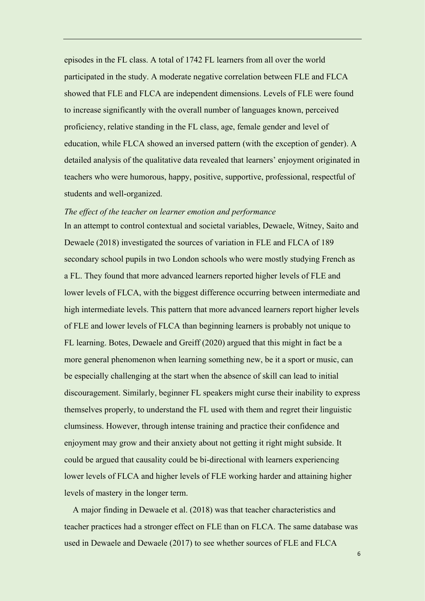episodes in the FL class. A total of 1742 FL learners from all over the world participated in the study. A moderate negative correlation between FLE and FLCA showed that FLE and FLCA are independent dimensions. Levels of FLE were found to increase significantly with the overall number of languages known, perceived proficiency, relative standing in the FL class, age, female gender and level of education, while FLCA showed an inversed pattern (with the exception of gender). A detailed analysis of the qualitative data revealed that learners' enjoyment originated in teachers who were humorous, happy, positive, supportive, professional, respectful of students and well-organized.

#### *The effect of the teacher on learner emotion and performance*

In an attempt to control contextual and societal variables, Dewaele, Witney, Saito and Dewaele (2018) investigated the sources of variation in FLE and FLCA of 189 secondary school pupils in two London schools who were mostly studying French as a FL. They found that more advanced learners reported higher levels of FLE and lower levels of FLCA, with the biggest difference occurring between intermediate and high intermediate levels. This pattern that more advanced learners report higher levels of FLE and lower levels of FLCA than beginning learners is probably not unique to FL learning. Botes, Dewaele and Greiff (2020) argued that this might in fact be a more general phenomenon when learning something new, be it a sport or music, can be especially challenging at the start when the absence of skill can lead to initial discouragement. Similarly, beginner FL speakers might curse their inability to express themselves properly, to understand the FL used with them and regret their linguistic clumsiness. However, through intense training and practice their confidence and enjoyment may grow and their anxiety about not getting it right might subside. It could be argued that causality could be bi-directional with learners experiencing lower levels of FLCA and higher levels of FLE working harder and attaining higher levels of mastery in the longer term.

A major finding in Dewaele et al. (2018) was that teacher characteristics and teacher practices had a stronger effect on FLE than on FLCA. The same database was used in Dewaele and Dewaele (2017) to see whether sources of FLE and FLCA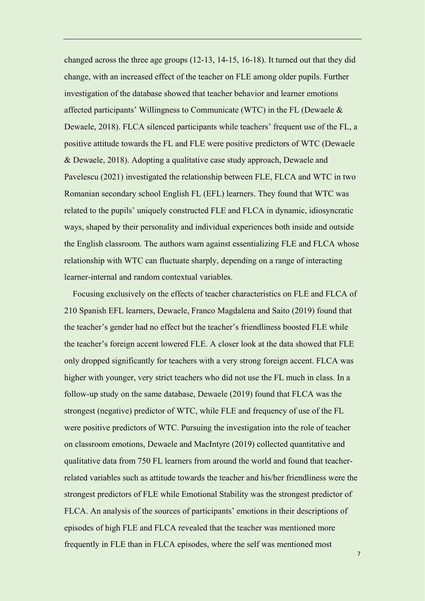changed across the three age groups (12-13, 14-15, 16-18). It turned out that they did change, with an increased effect of the teacher on FLE among older pupils. Further investigation of the database showed that teacher behavior and learner emotions affected participants' Willingness to Communicate (WTC) in the FL (Dewaele  $\&$ Dewaele, 2018). FLCA silenced participants while teachers' frequent use of the FL, a positive attitude towards the FL and FLE were positive predictors of WTC (Dewaele & Dewaele, 2018). Adopting a qualitative case study approach, Dewaele and Pavelescu (2021) investigated the relationship between FLE, FLCA and WTC in two Romanian secondary school English FL (EFL) learners. They found that WTC was related to the pupils' uniquely constructed FLE and FLCA in dynamic, idiosyncratic ways, shaped by their personality and individual experiences both inside and outside the English classroom. The authors warn against essentializing FLE and FLCA whose relationship with WTC can fluctuate sharply, depending on a range of interacting learner-internal and random contextual variables.

Focusing exclusively on the effects of teacher characteristics on FLE and FLCA of 210 Spanish EFL learners, Dewaele, Franco Magdalena and Saito (2019) found that the teacher's gender had no effect but the teacher's friendliness boosted FLE while the teacher's foreign accent lowered FLE. A closer look at the data showed that FLE only dropped significantly for teachers with a very strong foreign accent. FLCA was higher with younger, very strict teachers who did not use the FL much in class. In a follow-up study on the same database, Dewaele (2019) found that FLCA was the strongest (negative) predictor of WTC, while FLE and frequency of use of the FL were positive predictors of WTC. Pursuing the investigation into the role of teacher on classroom emotions, Dewaele and MacIntyre (2019) collected quantitative and qualitative data from 750 FL learners from around the world and found that teacherrelated variables such as attitude towards the teacher and his/her friendliness were the strongest predictors of FLE while Emotional Stability was the strongest predictor of FLCA. An analysis of the sources of participants' emotions in their descriptions of episodes of high FLE and FLCA revealed that the teacher was mentioned more frequently in FLE than in FLCA episodes, where the self was mentioned most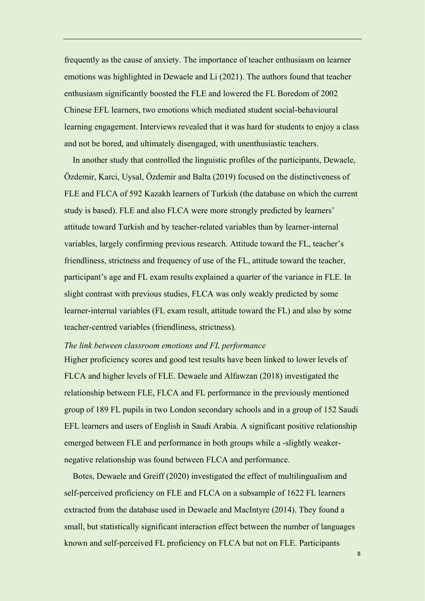frequently as the cause of anxiety. The importance of teacher enthusiasm on learner emotions was highlighted in Dewaele and Li (2021). The authors found that teacher enthusiasm significantly boosted the FLE and lowered the FL Boredom of 2002 Chinese EFL learners, two emotions which mediated student social-behavioural learning engagement. Interviews revealed that it was hard for students to enjoy a class and not be bored, and ultimately disengaged, with unenthusiastic teachers.

In another study that controlled the linguistic profiles of the participants, Dewaele, Özdemir, Karci, Uysal, Özdemir and Balta (2019) focused on the distinctiveness of FLE and FLCA of 592 Kazakh learners of Turkish (the database on which the current study is based). FLE and also FLCA were more strongly predicted by learners' attitude toward Turkish and by teacher-related variables than by learner-internal variables, largely confirming previous research. Attitude toward the FL, teacher's friendliness, strictness and frequency of use of the FL, attitude toward the teacher, participant's age and FL exam results explained a quarter of the variance in FLE. In slight contrast with previous studies, FLCA was only weakly predicted by some learner-internal variables (FL exam result, attitude toward the FL) and also by some teacher-centred variables (friendliness, strictness).

#### *The link between classroom emotions and FL performance*

Higher proficiency scores and good test results have been linked to lower levels of FLCA and higher levels of FLE. Dewaele and Alfawzan (2018) investigated the relationship between FLE, FLCA and FL performance in the previously mentioned group of 189 FL pupils in two London secondary schools and in a group of 152 Saudi EFL learners and users of English in Saudi Arabia. A significant positive relationship emerged between FLE and performance in both groups while a -slightly weakernegative relationship was found between FLCA and performance.

Botes, Dewaele and Greiff (2020) investigated the effect of multilingualism and self-perceived proficiency on FLE and FLCA on a subsample of 1622 FL learners extracted from the database used in Dewaele and MacIntyre (2014). They found a small, but statistically significant interaction effect between the number of languages known and self-perceived FL proficiency on FLCA but not on FLE. Participants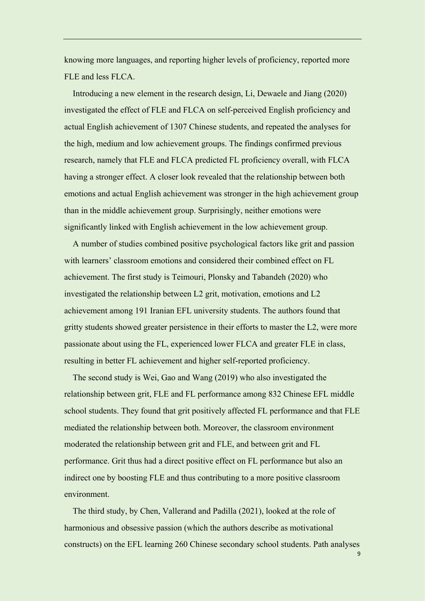knowing more languages, and reporting higher levels of proficiency, reported more FLE and less FLCA.

Introducing a new element in the research design, Li, Dewaele and Jiang (2020) investigated the effect of FLE and FLCA on self-perceived English proficiency and actual English achievement of 1307 Chinese students, and repeated the analyses for the high, medium and low achievement groups. The findings confirmed previous research, namely that FLE and FLCA predicted FL proficiency overall, with FLCA having a stronger effect. A closer look revealed that the relationship between both emotions and actual English achievement was stronger in the high achievement group than in the middle achievement group. Surprisingly, neither emotions were significantly linked with English achievement in the low achievement group.

A number of studies combined positive psychological factors like grit and passion with learners' classroom emotions and considered their combined effect on FL achievement. The first study is Teimouri, Plonsky and Tabandeh (2020) who investigated the relationship between L2 grit, motivation, emotions and L2 achievement among 191 Iranian EFL university students. The authors found that gritty students showed greater persistence in their efforts to master the L2, were more passionate about using the FL, experienced lower FLCA and greater FLE in class, resulting in better FL achievement and higher self-reported proficiency.

The second study is Wei, Gao and Wang (2019) who also investigated the relationship between grit, FLE and FL performance among 832 Chinese EFL middle school students. They found that grit positively affected FL performance and that FLE mediated the relationship between both. Moreover, the classroom environment moderated the relationship between grit and FLE, and between grit and FL performance. Grit thus had a direct positive effect on FL performance but also an indirect one by boosting FLE and thus contributing to a more positive classroom environment.

The third study, by Chen, Vallerand and Padilla (2021), looked at the role of harmonious and obsessive passion (which the authors describe as motivational constructs) on the EFL learning 260 Chinese secondary school students. Path analyses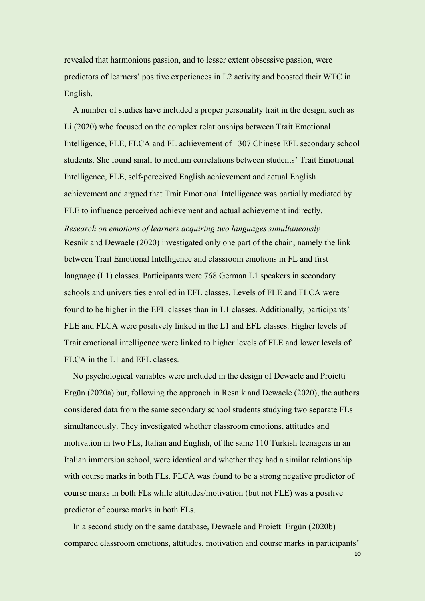revealed that harmonious passion, and to lesser extent obsessive passion, were predictors of learners' positive experiences in L2 activity and boosted their WTC in English.

A number of studies have included a proper personality trait in the design, such as Li (2020) who focused on the complex relationships between Trait Emotional Intelligence, FLE, FLCA and FL achievement of 1307 Chinese EFL secondary school students. She found small to medium correlations between students' Trait Emotional Intelligence, FLE, self-perceived English achievement and actual English achievement and argued that Trait Emotional Intelligence was partially mediated by FLE to influence perceived achievement and actual achievement indirectly.

*Research on emotions of learners acquiring two languages simultaneously* Resnik and Dewaele (2020) investigated only one part of the chain, namely the link between Trait Emotional Intelligence and classroom emotions in FL and first language (L1) classes. Participants were 768 German L1 speakers in secondary schools and universities enrolled in EFL classes. Levels of FLE and FLCA were found to be higher in the EFL classes than in L1 classes. Additionally, participants' FLE and FLCA were positively linked in the L1 and EFL classes. Higher levels of Trait emotional intelligence were linked to higher levels of FLE and lower levels of FLCA in the L1 and EFL classes.

No psychological variables were included in the design of Dewaele and Proietti Ergün (2020a) but, following the approach in Resnik and Dewaele (2020), the authors considered data from the same secondary school students studying two separate FLs simultaneously. They investigated whether classroom emotions, attitudes and motivation in two FLs, Italian and English, of the same 110 Turkish teenagers in an Italian immersion school, were identical and whether they had a similar relationship with course marks in both FLs. FLCA was found to be a strong negative predictor of course marks in both FLs while attitudes/motivation (but not FLE) was a positive predictor of course marks in both FLs.

In a second study on the same database, Dewaele and Proietti Ergün (2020b) compared classroom emotions, attitudes, motivation and course marks in participants'

 $1<sub>0</sub>$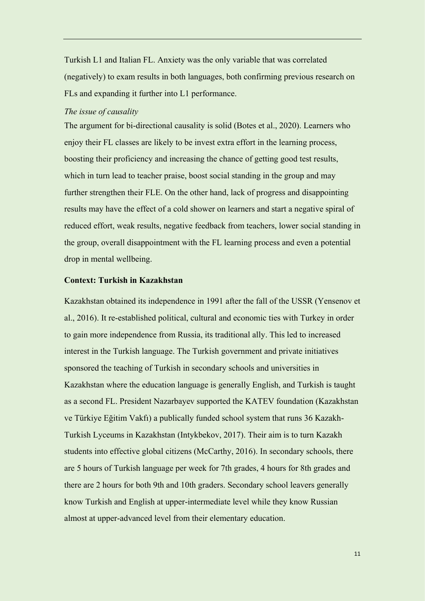Turkish L1 and Italian FL. Anxiety was the only variable that was correlated (negatively) to exam results in both languages, both confirming previous research on FLs and expanding it further into L1 performance.

#### *The issue of causality*

The argument for bi-directional causality is solid (Botes et al., 2020). Learners who enjoy their FL classes are likely to be invest extra effort in the learning process, boosting their proficiency and increasing the chance of getting good test results, which in turn lead to teacher praise, boost social standing in the group and may further strengthen their FLE. On the other hand, lack of progress and disappointing results may have the effect of a cold shower on learners and start a negative spiral of reduced effort, weak results, negative feedback from teachers, lower social standing in the group, overall disappointment with the FL learning process and even a potential drop in mental wellbeing.

#### **Context: Turkish in Kazakhstan**

Kazakhstan obtained its independence in 1991 after the fall of the USSR (Yensenov et al., 2016). It re-established political, cultural and economic ties with Turkey in order to gain more independence from Russia, its traditional ally. This led to increased interest in the Turkish language. The Turkish government and private initiatives sponsored the teaching of Turkish in secondary schools and universities in Kazakhstan where the education language is generally English, and Turkish is taught as a second FL. President Nazarbayev supported the KATEV foundation (Kazakhstan ve Türkiye Eğitim Vakfı) a publically funded school system that runs 36 Kazakh-Turkish Lyceums in Kazakhstan (Intykbekov, 2017). Their aim is to turn Kazakh students into effective global citizens (McCarthy, 2016). In secondary schools, there are 5 hours of Turkish language per week for 7th grades, 4 hours for 8th grades and there are 2 hours for both 9th and 10th graders. Secondary school leavers generally know Turkish and English at upper-intermediate level while they know Russian almost at upper-advanced level from their elementary education.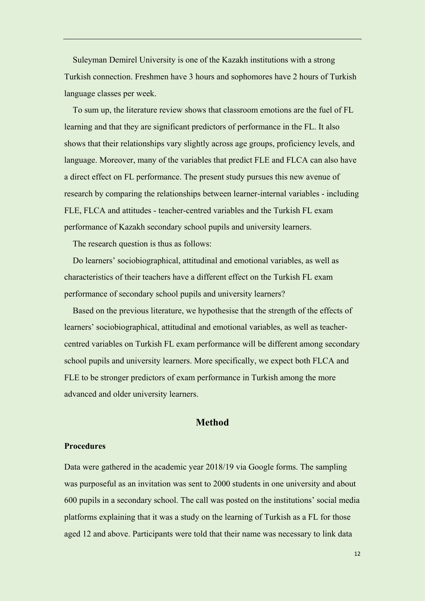Suleyman Demirel University is one of the Kazakh institutions with a strong Turkish connection. Freshmen have 3 hours and sophomores have 2 hours of Turkish language classes per week.

To sum up, the literature review shows that classroom emotions are the fuel of FL learning and that they are significant predictors of performance in the FL. It also shows that their relationships vary slightly across age groups, proficiency levels, and language. Moreover, many of the variables that predict FLE and FLCA can also have a direct effect on FL performance. The present study pursues this new avenue of research by comparing the relationships between learner-internal variables - including FLE, FLCA and attitudes - teacher-centred variables and the Turkish FL exam performance of Kazakh secondary school pupils and university learners.

The research question is thus as follows:

Do learners' sociobiographical, attitudinal and emotional variables, as well as characteristics of their teachers have a different effect on the Turkish FL exam performance of secondary school pupils and university learners?

Based on the previous literature, we hypothesise that the strength of the effects of learners' sociobiographical, attitudinal and emotional variables, as well as teachercentred variables on Turkish FL exam performance will be different among secondary school pupils and university learners. More specifically, we expect both FLCA and FLE to be stronger predictors of exam performance in Turkish among the more advanced and older university learners.

# **Method**

#### **Procedures**

Data were gathered in the academic year 2018/19 via Google forms. The sampling was purposeful as an invitation was sent to 2000 students in one university and about 600 pupils in a secondary school. The call was posted on the institutions' social media platforms explaining that it was a study on the learning of Turkish as a FL for those aged 12 and above. Participants were told that their name was necessary to link data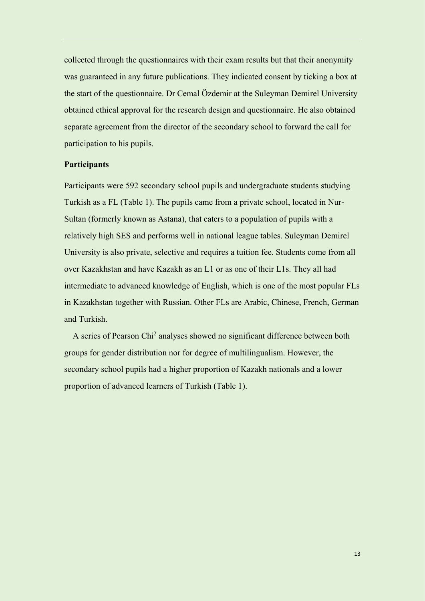collected through the questionnaires with their exam results but that their anonymity was guaranteed in any future publications. They indicated consent by ticking a box at the start of the questionnaire. Dr Cemal Özdemir at the Suleyman Demirel University obtained ethical approval for the research design and questionnaire. He also obtained separate agreement from the director of the secondary school to forward the call for participation to his pupils.

#### **Participants**

Participants were 592 secondary school pupils and undergraduate students studying Turkish as a FL (Table 1). The pupils came from a private school, located in Nur-Sultan (formerly known as Astana), that caters to a population of pupils with a relatively high SES and performs well in national league tables. Suleyman Demirel University is also private, selective and requires a tuition fee. Students come from all over Kazakhstan and have Kazakh as an L1 or as one of their L1s. They all had intermediate to advanced knowledge of English, which is one of the most popular FLs in Kazakhstan together with Russian. Other FLs are Arabic, Chinese, French, German and Turkish.

A series of Pearson Chi<sup>2</sup> analyses showed no significant difference between both groups for gender distribution nor for degree of multilingualism. However, the secondary school pupils had a higher proportion of Kazakh nationals and a lower proportion of advanced learners of Turkish (Table 1).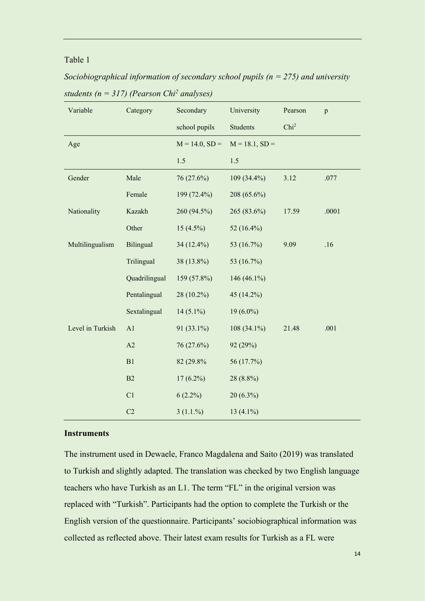# Table 1

*Sociobiographical information of secondary school pupils (n = 275) and university students (n = 317) (Pearson Chi<sup>2</sup> analyses)*

| Variable         | Category      | Secondary        | University       | Pearson          | p     |
|------------------|---------------|------------------|------------------|------------------|-------|
|                  |               | school pupils    | <b>Students</b>  | Chi <sup>2</sup> |       |
| Age              |               | $M = 14.0, SD =$ | $M = 18.1, SD =$ |                  |       |
|                  |               | 1.5              | 1.5              |                  |       |
| Gender           | Male          | 76 (27.6%)       | $109(34.4\%)$    | 3.12             | .077  |
|                  | Female        | 199 (72.4%)      | 208 (65.6%)      |                  |       |
| Nationality      | Kazakh        | 260 (94.5%)      | 265 (83.6%)      | 17.59            | .0001 |
|                  | Other         | $15(4.5\%)$      | 52 (16.4%)       |                  |       |
| Multilingualism  | Bilingual     | 34 (12.4%)       | 53 (16.7%)       | 9.09             | .16   |
|                  | Trilingual    | 38 (13.8%)       | 53 (16.7%)       |                  |       |
|                  | Quadrilingual | 159 (57.8%)      | 146 (46.1%)      |                  |       |
|                  | Pentalingual  | 28 (10.2%)       | 45 (14.2%)       |                  |       |
|                  | Sextalingual  | $14(5.1\%)$      | $19(6.0\%)$      |                  |       |
| Level in Turkish | A1            | 91 (33.1%)       | 108 (34.1%)      | 21.48            | .001  |
|                  | A2            | 76 (27.6%)       | 92 (29%)         |                  |       |
|                  | B1            | 82 (29.8%)       | 56 (17.7%)       |                  |       |
|                  | B2            | $17(6.2\%)$      | 28 (8.8%)        |                  |       |
|                  | C1            | $6(2.2\%)$       | 20 (6.3%)        |                  |       |
|                  | C2            | 3(1.1.%)         | 13 $(4.1\%)$     |                  |       |

# **Instruments**

The instrument used in Dewaele, Franco Magdalena and Saito (2019) was translated to Turkish and slightly adapted. The translation was checked by two English language teachers who have Turkish as an L1. The term "FL" in the original version was replaced with "Turkish". Participants had the option to complete the Turkish or the English version of the questionnaire. Participants' sociobiographical information was collected as reflected above. Their latest exam results for Turkish as a FL were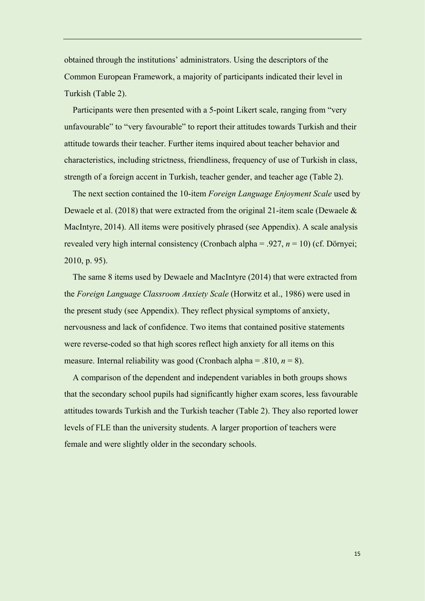obtained through the institutions' administrators. Using the descriptors of the Common European Framework, a majority of participants indicated their level in Turkish (Table 2).

Participants were then presented with a 5-point Likert scale, ranging from "very unfavourable" to "very favourable" to report their attitudes towards Turkish and their attitude towards their teacher. Further items inquired about teacher behavior and characteristics, including strictness, friendliness, frequency of use of Turkish in class, strength of a foreign accent in Turkish, teacher gender, and teacher age (Table 2).

The next section contained the 10-item *Foreign Language Enjoyment Scale* used by Dewaele et al. (2018) that were extracted from the original 21-item scale (Dewaele & MacIntyre, 2014). All items were positively phrased (see Appendix). A scale analysis revealed very high internal consistency (Cronbach alpha = .927, *n* = 10) (cf. Dörnyei; 2010, p. 95).

The same 8 items used by Dewaele and MacIntyre (2014) that were extracted from the *Foreign Language Classroom Anxiety Scale* (Horwitz et al., 1986) were used in the present study (see Appendix). They reflect physical symptoms of anxiety, nervousness and lack of confidence. Two items that contained positive statements were reverse-coded so that high scores reflect high anxiety for all items on this measure. Internal reliability was good (Cronbach alpha = .810, *n* = 8).

A comparison of the dependent and independent variables in both groups shows that the secondary school pupils had significantly higher exam scores, less favourable attitudes towards Turkish and the Turkish teacher (Table 2). They also reported lower levels of FLE than the university students. A larger proportion of teachers were female and were slightly older in the secondary schools.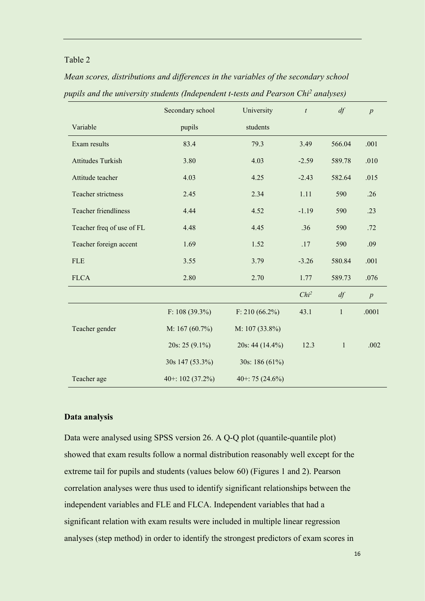# Table 2

|                           | Secondary school  | University         | $\mathfrak{t}$   | df           | $\overline{p}$   |
|---------------------------|-------------------|--------------------|------------------|--------------|------------------|
| Variable                  | pupils            | students           |                  |              |                  |
| Exam results              | 83.4              | 79.3               | 3.49             | 566.04       | .001             |
| <b>Attitudes Turkish</b>  | 3.80              | 4.03               | $-2.59$          | 589.78       | .010             |
| Attitude teacher          | 4.03              | 4.25               | $-2.43$          | 582.64       | .015             |
| Teacher strictness        | 2.45              | 2.34               | 1.11             | 590          | .26              |
| Teacher friendliness      | 4.44              | 4.52               | $-1.19$          | 590          | .23              |
| Teacher freq of use of FL | 4.48              | 4.45               | .36              | 590          | .72              |
| Teacher foreign accent    | 1.69              | 1.52               | .17              | 590          | .09              |
| <b>FLE</b>                | 3.55              | 3.79               | $-3.26$          | 580.84       | .001             |
| <b>FLCA</b>               | 2.80              | 2.70               | 1.77             | 589.73       | .076             |
|                           |                   |                    | Chi <sup>2</sup> | df           | $\boldsymbol{p}$ |
|                           | F: $108(39.3\%)$  | F: 210 (66.2%)     | 43.1             | $\mathbf{1}$ | .0001            |
| Teacher gender            | M: $167(60.7\%)$  | M: 107 (33.8%)     |                  |              |                  |
|                           | 20s: 25 (9.1%)    | 20s: 44 (14.4%)    | 12.3             | $\mathbf{1}$ | .002             |
|                           | 30s 147 (53.3%)   | 30s: 186 (61%)     |                  |              |                  |
| Teacher age               | 40+: $102(37.2%)$ | 40+: 75 $(24.6\%)$ |                  |              |                  |

*Mean scores, distributions and differences in the variables of the secondary school pupils and the university students (Independent t-tests and Pearson Chi<sup>2</sup> analyses)*

#### **Data analysis**

Data were analysed using SPSS version 26. A Q-Q plot (quantile-quantile plot) showed that exam results follow a normal distribution reasonably well except for the extreme tail for pupils and students (values below 60) (Figures 1 and 2). Pearson correlation analyses were thus used to identify significant relationships between the independent variables and FLE and FLCA. Independent variables that had a significant relation with exam results were included in multiple linear regression analyses (step method) in order to identify the strongest predictors of exam scores in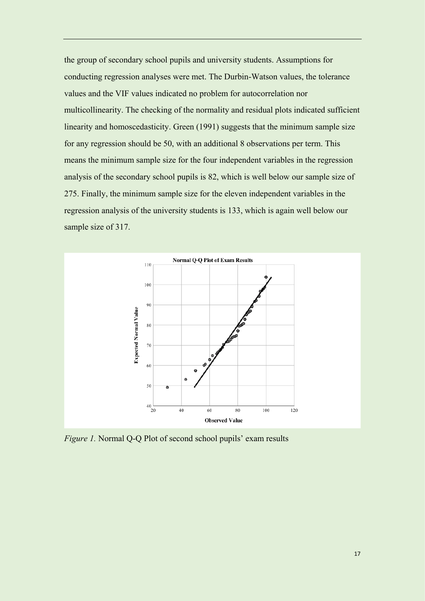the group of secondary school pupils and university students. Assumptions for conducting regression analyses were met. The Durbin-Watson values, the tolerance values and the VIF values indicated no problem for autocorrelation nor multicollinearity. The checking of the normality and residual plots indicated sufficient linearity and homoscedasticity. Green (1991) suggests that the minimum sample size for any regression should be 50, with an additional 8 observations per term. This means the minimum sample size for the four independent variables in the regression analysis of the secondary school pupils is 82, which is well below our sample size of 275. Finally, the minimum sample size for the eleven independent variables in the regression analysis of the university students is 133, which is again well below our sample size of 317.



*Figure 1.* Normal Q-Q Plot of second school pupils' exam results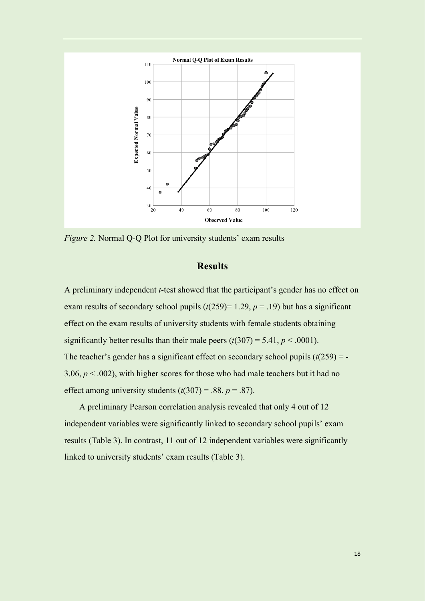

*Figure 2.* Normal Q-Q Plot for university students' exam results

# **Results**

A preliminary independent *t*-test showed that the participant's gender has no effect on exam results of secondary school pupils  $(t(259)=1.29, p=.19)$  but has a significant effect on the exam results of university students with female students obtaining significantly better results than their male peers  $(t(307) = 5.41, p < .0001)$ . The teacher's gender has a significant effect on secondary school pupils  $(t(259) = -$ 3.06,  $p < .002$ ), with higher scores for those who had male teachers but it had no effect among university students  $(t(307) = .88, p = .87)$ .

A preliminary Pearson correlation analysis revealed that only 4 out of 12 independent variables were significantly linked to secondary school pupils' exam results (Table 3). In contrast, 11 out of 12 independent variables were significantly linked to university students' exam results (Table 3).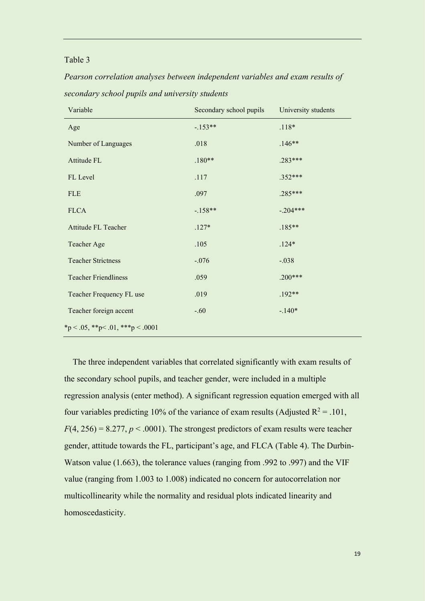# Table 3

*Pearson correlation analyses between independent variables and exam results of secondary school pupils and university students*

| Variable                          | Secondary school pupils | University students |
|-----------------------------------|-------------------------|---------------------|
| Age                               | $-153**$                | $.118*$             |
| Number of Languages               | .018                    | $.146**$            |
| Attitude FL                       | $.180**$                | .283***             |
| FL Level                          | .117                    | $.352***$           |
| <b>FLE</b>                        | .097                    | $.285***$           |
| <b>FLCA</b>                       | $-.158**$               | $-.204***$          |
| Attitude FL Teacher               | $.127*$                 | $.185**$            |
| Teacher Age                       | .105                    | $.124*$             |
| <b>Teacher Strictness</b>         | $-.076$                 | $-.038$             |
| <b>Teacher Friendliness</b>       | .059                    | $.200***$           |
| Teacher Frequency FL use          | .019                    | $.192**$            |
| Teacher foreign accent            | $-.60$                  | $-.140*$            |
| *p < .05, **p < .01, ***p < .0001 |                         |                     |

The three independent variables that correlated significantly with exam results of the secondary school pupils, and teacher gender, were included in a multiple regression analysis (enter method). A significant regression equation emerged with all four variables predicting 10% of the variance of exam results (Adjusted  $R^2 = .101$ ,  $F(4, 256) = 8.277$ ,  $p < .0001$ ). The strongest predictors of exam results were teacher gender, attitude towards the FL, participant's age, and FLCA (Table 4). The Durbin-Watson value (1.663), the tolerance values (ranging from .992 to .997) and the VIF value (ranging from 1.003 to 1.008) indicated no concern for autocorrelation nor multicollinearity while the normality and residual plots indicated linearity and homoscedasticity.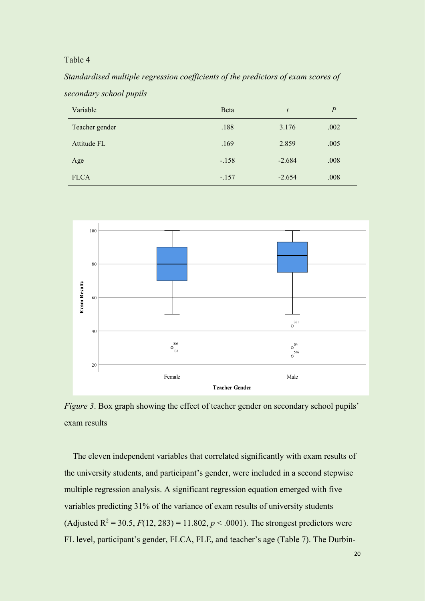# Table 4

*Standardised multiple regression coefficients of the predictors of exam scores of secondary school pupils*

| Variable       | Beta    | t        | $\overline{P}$ |
|----------------|---------|----------|----------------|
| Teacher gender | .188    | 3.176    | .002           |
| Attitude FL    | .169    | 2.859    | .005           |
| Age            | $-.158$ | $-2.684$ | .008           |
| <b>FLCA</b>    | $-.157$ | $-2.654$ | .008           |



*Figure 3*. Box graph showing the effect of teacher gender on secondary school pupils' exam results

The eleven independent variables that correlated significantly with exam results of the university students, and participant's gender, were included in a second stepwise multiple regression analysis. A significant regression equation emerged with five variables predicting 31% of the variance of exam results of university students (Adjusted  $R^2 = 30.5$ ,  $F(12, 283) = 11.802$ ,  $p < .0001$ ). The strongest predictors were FL level, participant's gender, FLCA, FLE, and teacher's age (Table 7). The Durbin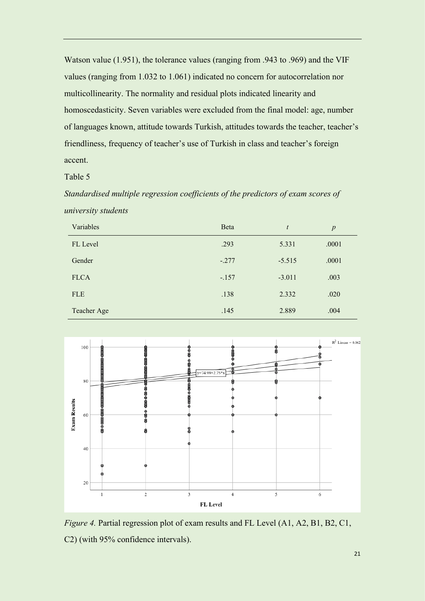Watson value (1.951), the tolerance values (ranging from .943 to .969) and the VIF values (ranging from 1.032 to 1.061) indicated no concern for autocorrelation nor multicollinearity. The normality and residual plots indicated linearity and homoscedasticity. Seven variables were excluded from the final model: age, number of languages known, attitude towards Turkish, attitudes towards the teacher, teacher's friendliness, frequency of teacher's use of Turkish in class and teacher's foreign accent.

Table 5

*Standardised multiple regression coefficients of the predictors of exam scores of university students*

| Variables   | Beta    | $\boldsymbol{t}$ | $\boldsymbol{p}$ |
|-------------|---------|------------------|------------------|
| FL Level    | .293    | 5.331            | .0001            |
| Gender      | $-.277$ | $-5.515$         | .0001            |
| <b>FLCA</b> | $-.157$ | $-3.011$         | .003             |
| <b>FLE</b>  | .138    | 2.332            | .020             |
| Teacher Age | .145    | 2.889            | .004             |



*Figure 4.* Partial regression plot of exam results and FL Level (A1, A2, B1, B2, C1, C2) (with 95% confidence intervals).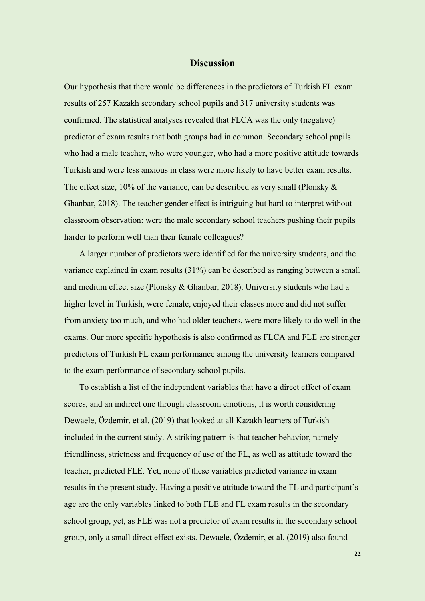# **Discussion**

Our hypothesis that there would be differences in the predictors of Turkish FL exam results of 257 Kazakh secondary school pupils and 317 university students was confirmed. The statistical analyses revealed that FLCA was the only (negative) predictor of exam results that both groups had in common. Secondary school pupils who had a male teacher, who were younger, who had a more positive attitude towards Turkish and were less anxious in class were more likely to have better exam results. The effect size,  $10\%$  of the variance, can be described as very small (Plonsky  $\&$ Ghanbar, 2018). The teacher gender effect is intriguing but hard to interpret without classroom observation: were the male secondary school teachers pushing their pupils harder to perform well than their female colleagues?

A larger number of predictors were identified for the university students, and the variance explained in exam results (31%) can be described as ranging between a small and medium effect size (Plonsky & Ghanbar, 2018). University students who had a higher level in Turkish, were female, enjoyed their classes more and did not suffer from anxiety too much, and who had older teachers, were more likely to do well in the exams. Our more specific hypothesis is also confirmed as FLCA and FLE are stronger predictors of Turkish FL exam performance among the university learners compared to the exam performance of secondary school pupils.

To establish a list of the independent variables that have a direct effect of exam scores, and an indirect one through classroom emotions, it is worth considering Dewaele, Özdemir, et al. (2019) that looked at all Kazakh learners of Turkish included in the current study. A striking pattern is that teacher behavior, namely friendliness, strictness and frequency of use of the FL, as well as attitude toward the teacher, predicted FLE. Yet, none of these variables predicted variance in exam results in the present study. Having a positive attitude toward the FL and participant's age are the only variables linked to both FLE and FL exam results in the secondary school group, yet, as FLE was not a predictor of exam results in the secondary school group, only a small direct effect exists. Dewaele, Özdemir, et al. (2019) also found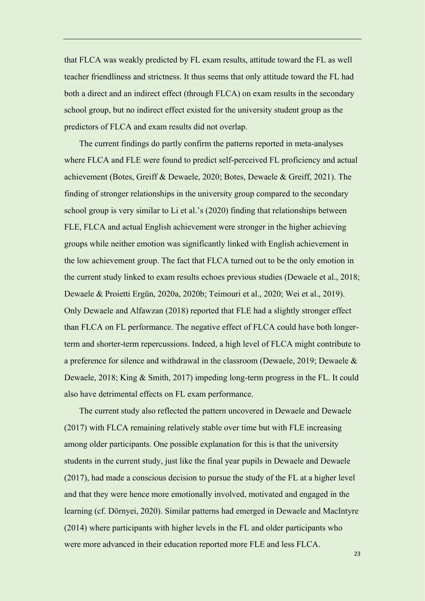that FLCA was weakly predicted by FL exam results, attitude toward the FL as well teacher friendliness and strictness. It thus seems that only attitude toward the FL had both a direct and an indirect effect (through FLCA) on exam results in the secondary school group, but no indirect effect existed for the university student group as the predictors of FLCA and exam results did not overlap.

The current findings do partly confirm the patterns reported in meta-analyses where FLCA and FLE were found to predict self-perceived FL proficiency and actual achievement (Botes, Greiff & Dewaele, 2020; Botes, Dewaele & Greiff, 2021). The finding of stronger relationships in the university group compared to the secondary school group is very similar to Li et al.'s (2020) finding that relationships between FLE, FLCA and actual English achievement were stronger in the higher achieving groups while neither emotion was significantly linked with English achievement in the low achievement group. The fact that FLCA turned out to be the only emotion in the current study linked to exam results echoes previous studies (Dewaele et al., 2018; Dewaele & Proietti Ergün, 2020a, 2020b; Teimouri et al., 2020; Wei et al., 2019). Only Dewaele and Alfawzan (2018) reported that FLE had a slightly stronger effect than FLCA on FL performance. The negative effect of FLCA could have both longerterm and shorter-term repercussions. Indeed, a high level of FLCA might contribute to a preference for silence and withdrawal in the classroom (Dewaele, 2019; Dewaele & Dewaele, 2018; King & Smith, 2017) impeding long-term progress in the FL. It could also have detrimental effects on FL exam performance.

The current study also reflected the pattern uncovered in Dewaele and Dewaele (2017) with FLCA remaining relatively stable over time but with FLE increasing among older participants. One possible explanation for this is that the university students in the current study, just like the final year pupils in Dewaele and Dewaele (2017), had made a conscious decision to pursue the study of the FL at a higher level and that they were hence more emotionally involved, motivated and engaged in the learning (cf. Dörnyei, 2020). Similar patterns had emerged in Dewaele and MacIntyre (2014) where participants with higher levels in the FL and older participants who were more advanced in their education reported more FLE and less FLCA.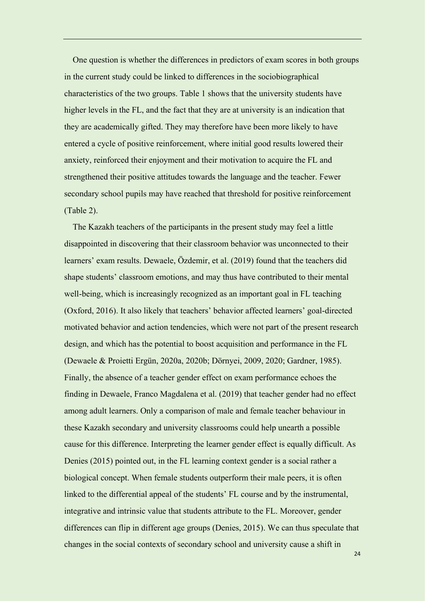One question is whether the differences in predictors of exam scores in both groups in the current study could be linked to differences in the sociobiographical characteristics of the two groups. Table 1 shows that the university students have higher levels in the FL, and the fact that they are at university is an indication that they are academically gifted. They may therefore have been more likely to have entered a cycle of positive reinforcement, where initial good results lowered their anxiety, reinforced their enjoyment and their motivation to acquire the FL and strengthened their positive attitudes towards the language and the teacher. Fewer secondary school pupils may have reached that threshold for positive reinforcement (Table 2).

The Kazakh teachers of the participants in the present study may feel a little disappointed in discovering that their classroom behavior was unconnected to their learners' exam results. Dewaele, Özdemir, et al. (2019) found that the teachers did shape students' classroom emotions, and may thus have contributed to their mental well-being, which is increasingly recognized as an important goal in FL teaching (Oxford, 2016). It also likely that teachers' behavior affected learners' goal-directed motivated behavior and action tendencies, which were not part of the present research design, and which has the potential to boost acquisition and performance in the FL (Dewaele & Proietti Ergün, 2020a, 2020b; Dörnyei, 2009, 2020; Gardner, 1985). Finally, the absence of a teacher gender effect on exam performance echoes the finding in Dewaele, Franco Magdalena et al. (2019) that teacher gender had no effect among adult learners. Only a comparison of male and female teacher behaviour in these Kazakh secondary and university classrooms could help unearth a possible cause for this difference. Interpreting the learner gender effect is equally difficult. As Denies (2015) pointed out, in the FL learning context gender is a social rather a biological concept. When female students outperform their male peers, it is often linked to the differential appeal of the students' FL course and by the instrumental, integrative and intrinsic value that students attribute to the FL. Moreover, gender differences can flip in different age groups (Denies, 2015). We can thus speculate that changes in the social contexts of secondary school and university cause a shift in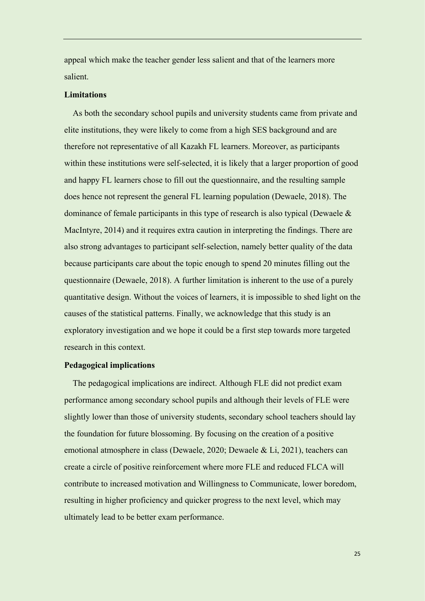appeal which make the teacher gender less salient and that of the learners more salient.

#### **Limitations**

As both the secondary school pupils and university students came from private and elite institutions, they were likely to come from a high SES background and are therefore not representative of all Kazakh FL learners. Moreover, as participants within these institutions were self-selected, it is likely that a larger proportion of good and happy FL learners chose to fill out the questionnaire, and the resulting sample does hence not represent the general FL learning population (Dewaele, 2018). The dominance of female participants in this type of research is also typical (Dewaele & MacIntyre, 2014) and it requires extra caution in interpreting the findings. There are also strong advantages to participant self-selection, namely better quality of the data because participants care about the topic enough to spend 20 minutes filling out the questionnaire (Dewaele, 2018). A further limitation is inherent to the use of a purely quantitative design. Without the voices of learners, it is impossible to shed light on the causes of the statistical patterns. Finally, we acknowledge that this study is an exploratory investigation and we hope it could be a first step towards more targeted research in this context.

#### **Pedagogical implications**

The pedagogical implications are indirect. Although FLE did not predict exam performance among secondary school pupils and although their levels of FLE were slightly lower than those of university students, secondary school teachers should lay the foundation for future blossoming. By focusing on the creation of a positive emotional atmosphere in class (Dewaele, 2020; Dewaele & Li, 2021), teachers can create a circle of positive reinforcement where more FLE and reduced FLCA will contribute to increased motivation and Willingness to Communicate, lower boredom, resulting in higher proficiency and quicker progress to the next level, which may ultimately lead to be better exam performance.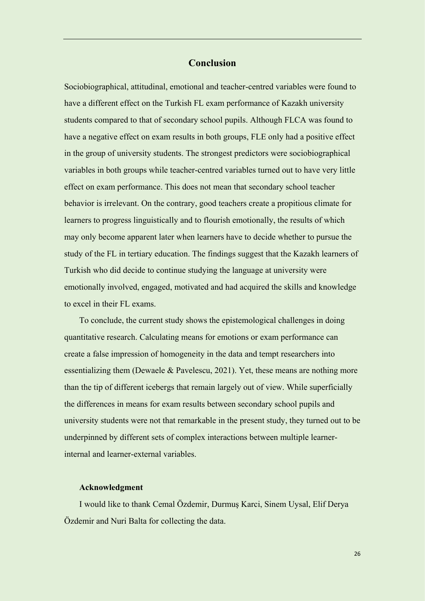# **Conclusion**

Sociobiographical, attitudinal, emotional and teacher-centred variables were found to have a different effect on the Turkish FL exam performance of Kazakh university students compared to that of secondary school pupils. Although FLCA was found to have a negative effect on exam results in both groups, FLE only had a positive effect in the group of university students. The strongest predictors were sociobiographical variables in both groups while teacher-centred variables turned out to have very little effect on exam performance. This does not mean that secondary school teacher behavior is irrelevant. On the contrary, good teachers create a propitious climate for learners to progress linguistically and to flourish emotionally, the results of which may only become apparent later when learners have to decide whether to pursue the study of the FL in tertiary education. The findings suggest that the Kazakh learners of Turkish who did decide to continue studying the language at university were emotionally involved, engaged, motivated and had acquired the skills and knowledge to excel in their FL exams.

To conclude, the current study shows the epistemological challenges in doing quantitative research. Calculating means for emotions or exam performance can create a false impression of homogeneity in the data and tempt researchers into essentializing them (Dewaele & Pavelescu, 2021). Yet, these means are nothing more than the tip of different icebergs that remain largely out of view. While superficially the differences in means for exam results between secondary school pupils and university students were not that remarkable in the present study, they turned out to be underpinned by different sets of complex interactions between multiple learnerinternal and learner-external variables.

# **Acknowledgment**

I would like to thank Cemal Özdemir, Durmuş Karci, Sinem Uysal, Elif Derya Özdemir and Nuri Balta for collecting the data.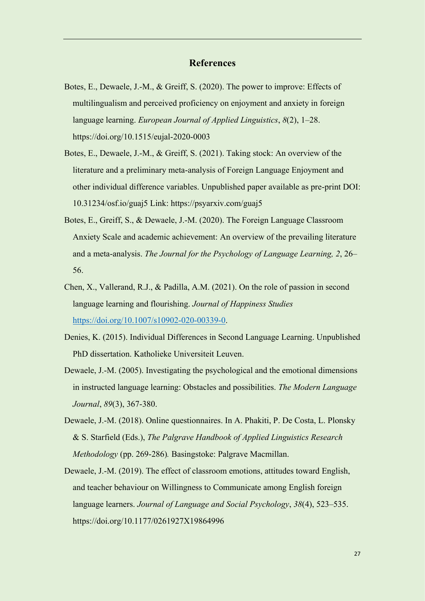# **References**

- Botes, E., Dewaele, J.-M., & Greiff, S. (2020). The power to improve: Effects of multilingualism and perceived proficiency on enjoyment and anxiety in foreign language learning. *European Journal of Applied Linguistics*, *8*(2), 1–28. https://doi.org/10.1515/eujal-2020-0003
- Botes, E., Dewaele, J.-M., & Greiff, S. (2021). Taking stock: An overview of the literature and a preliminary meta-analysis of Foreign Language Enjoyment and other individual difference variables. Unpublished paper available as pre-print DOI: 10.31234/osf.io/guaj5 Link: https://psyarxiv.com/guaj5
- Botes, E., Greiff, S., & Dewaele, J.-M. (2020). The Foreign Language Classroom Anxiety Scale and academic achievement: An overview of the prevailing literature and a meta-analysis. *The Journal for the Psychology of Language Learning, 2*, 26– 56.
- Chen, X., Vallerand, R.J., & Padilla, A.M. (2021). On the role of passion in second language learning and flourishing. *Journal of Happiness Studies* [https://doi.org/10.1007/s10902-020-00339-0.](https://doi.org/10.1007/s10902-020-00339-0)
- Denies, K. (2015). Individual Differences in Second Language Learning. Unpublished PhD dissertation. Katholieke Universiteit Leuven.
- Dewaele, J.-M. (2005). Investigating the psychological and the emotional dimensions in instructed language learning: Obstacles and possibilities. *The Modern Language Journal*, *89*(3), 367-380.
- Dewaele, J.-M. (2018). Online questionnaires. In A. Phakiti, P. De Costa, L. Plonsky & S. Starfield (Eds.), *The Palgrave Handbook of Applied Linguistics Research Methodology* (pp. 269-286)*.* Basingstoke: Palgrave Macmillan.
- Dewaele, J.-M. (2019). The effect of classroom emotions, attitudes toward English, and teacher behaviour on Willingness to Communicate among English foreign language learners. *Journal of Language and Social Psychology*, *38*(4), 523–535. https://doi.org/10.1177/0261927X19864996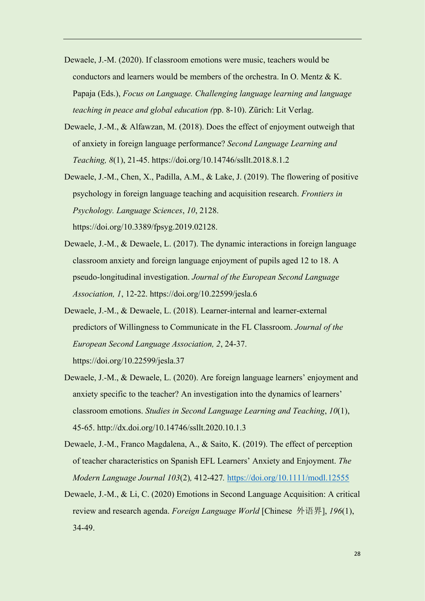- Dewaele, J.-M. (2020). If classroom emotions were music, teachers would be conductors and learners would be members of the orchestra. In O. Mentz & K. Papaja (Eds.), *Focus on Language. Challenging language learning and language teaching in peace and global education (*pp. 8-10). Zürich: Lit Verlag.
- Dewaele, J.-M., & Alfawzan, M. (2018). Does the effect of enjoyment outweigh that of anxiety in foreign language performance? *Second Language Learning and Teaching, 8*(1), 21-45. https://doi.org/10.14746/ssllt.2018.8.1.2
- Dewaele, J.-M., Chen, X., Padilla, A.M., & Lake, J. (2019). The flowering of positive psychology in foreign language teaching and acquisition research. *Frontiers in Psychology. Language Sciences*, *10*, 2128. https://doi.org/10.3389/fpsyg.2019.02128.
- Dewaele, J.-M., & Dewaele, L. (2017). The dynamic interactions in foreign language classroom anxiety and foreign language enjoyment of pupils aged 12 to 18. A pseudo-longitudinal investigation. *Journal of the European Second Language Association, 1*, 12-22. https://doi.org/10.22599/jesla.6
- Dewaele, J.-M., & Dewaele, L. (2018). Learner-internal and learner-external predictors of Willingness to Communicate in the FL Classroom. *Journal of the European Second Language Association, 2*, 24-37. https://doi.org/10.22599/jesla.37
- Dewaele, J.-M., & Dewaele, L. (2020). Are foreign language learners' enjoyment and anxiety specific to the teacher? An investigation into the dynamics of learners' classroom emotions. *Studies in Second Language Learning and Teaching*, *10*(1), 45-65. http://dx.doi.org/10.14746/ssllt.2020.10.1.3
- Dewaele, J.-M., Franco Magdalena, A., & Saito, K. (2019). The effect of perception of teacher characteristics on Spanish EFL Learners' Anxiety and Enjoyment. *The Modern Language Journal 103*(2)*,* 412-427*.* <https://doi.org/10.1111/modl.12555>
- Dewaele, J.-M., & Li, C. (2020) Emotions in Second Language Acquisition: A critical review and research agenda. *Foreign Language World* [Chinese 外语界], *196*(1), 34-49.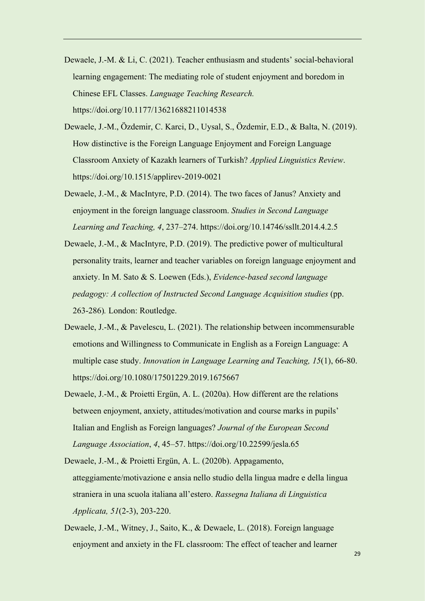- Dewaele, J.-M. & Li, C. (2021). Teacher enthusiasm and students' social-behavioral learning engagement: The mediating role of student enjoyment and boredom in Chinese EFL Classes. *Language Teaching Research.* https://doi.org/10.1177/13621688211014538
- Dewaele, J.-M., Özdemir, C. Karci, D., Uysal, S., Özdemir, E.D., & Balta, N. (2019). How distinctive is the Foreign Language Enjoyment and Foreign Language Classroom Anxiety of Kazakh learners of Turkish? *Applied Linguistics Review*. https://doi.org/10.1515/applirev-2019-0021
- Dewaele, J.-M., & MacIntyre, P.D. (2014). The two faces of Janus? Anxiety and enjoyment in the foreign language classroom. *Studies in Second Language Learning and Teaching, 4*, 237–274. https://doi.org/10.14746/ssllt.2014.4.2.5
- Dewaele, J.-M., & MacIntyre, P.D. (2019). The predictive power of multicultural personality traits, learner and teacher variables on foreign language enjoyment and anxiety. In M. Sato & S. Loewen (Eds.), *Evidence-based second language pedagogy: A collection of Instructed Second Language Acquisition studies* (pp. 263-286)*.* London: Routledge.
- Dewaele, J.-M., & Pavelescu, L. (2021). The relationship between incommensurable emotions and Willingness to Communicate in English as a Foreign Language: A multiple case study. *Innovation in Language Learning and Teaching, 15*(1), 66-80. https://doi.org/10.1080/17501229.2019.1675667
- Dewaele, J.-M., & Proietti Ergün, A. L. (2020a). How different are the relations between enjoyment, anxiety, attitudes/motivation and course marks in pupils' Italian and English as Foreign languages? *Journal of the European Second Language Association*, *4*, 45–57. https://doi.org/10.22599/jesla.65

Dewaele, J.-M., & Proietti Ergün, A. L. (2020b). Appagamento, atteggiamente/motivazione e ansia nello studio della lingua madre e della lingua straniera in una scuola italiana all'estero. *Rassegna Italiana di Linguistica Applicata, 51*(2-3), 203-220.

Dewaele, J.-M., Witney, J., Saito, K., & Dewaele, L. (2018). Foreign language enjoyment and anxiety in the FL classroom: The effect of teacher and learner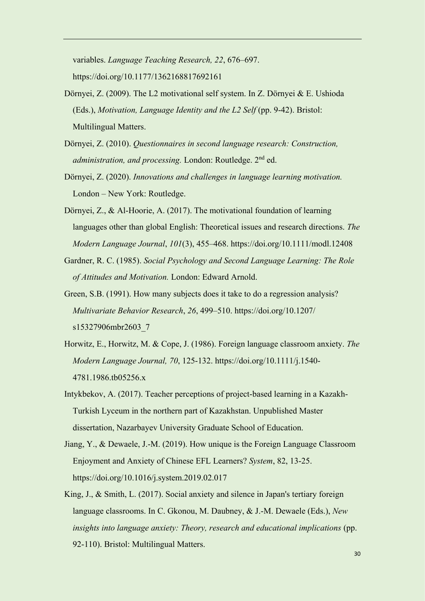variables. *Language Teaching Research, 22*, 676–697. https://doi.org/10.1177/1362168817692161

- Dörnyei, Z. (2009). The L2 motivational self system. In Z. Dörnyei & E. Ushioda (Eds.), *Motivation, Language Identity and the L2 Self* (pp. 9-42). Bristol: Multilingual Matters.
- Dörnyei, Z. (2010). *Questionnaires in second language research: Construction, administration, and processing.* London: Routledge. 2nd ed.
- Dörnyei, Z. (2020). *Innovations and challenges in language learning motivation.* London – New York: Routledge.
- Dörnyei, Z., & Al-Hoorie, A. (2017). The motivational foundation of learning languages other than global English: Theoretical issues and research directions. *The Modern Language Journal*, *101*(3), 455–468. https://doi.org/10.1111/modl.12408
- Gardner, R. C. (1985). *Social Psychology and Second Language Learning: The Role of Attitudes and Motivation.* London: Edward Arnold.
- Green, S.B. (1991). How many subjects does it take to do a regression analysis? *Multivariate Behavior Research*, *26*, 499–510. https://doi.org/10.1207/ s15327906mbr2603\_7
- Horwitz, E., Horwitz, M. & Cope, J. (1986). Foreign language classroom anxiety. *The Modern Language Journal, 70*, 125-132. https://doi.org/10.1111/j.1540- 4781.1986.tb05256.x
- Intykbekov, A. (2017). Teacher perceptions of project-based learning in a Kazakh-Turkish Lyceum in the northern part of Kazakhstan. Unpublished Master dissertation, Nazarbayev University Graduate School of Education.
- Jiang, Y., & Dewaele, J.-M. (2019). How unique is the Foreign Language Classroom Enjoyment and Anxiety of Chinese EFL Learners? *System*, 82, 13-25. https://doi.org/10.1016/j.system.2019.02.017
- King, J., & Smith, L. (2017). Social anxiety and silence in Japan's tertiary foreign language classrooms. In C. Gkonou, M. Daubney, & J.-M. Dewaele (Eds.), *New insights into language anxiety: Theory, research and educational implications* (pp. 92-110). Bristol: Multilingual Matters.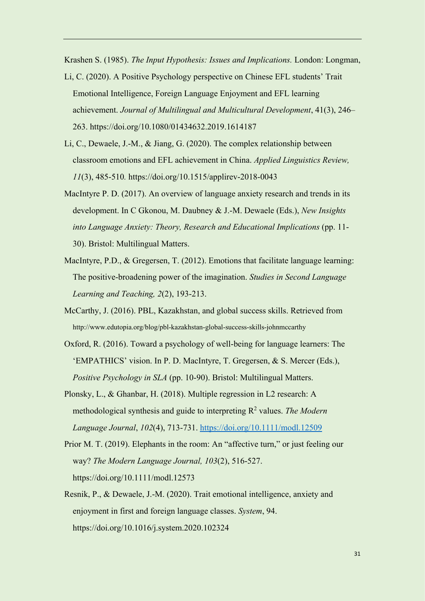Krashen S. (1985). *The Input Hypothesis: Issues and Implications.* London: Longman,

- Li, C. (2020). A Positive Psychology perspective on Chinese EFL students' Trait Emotional Intelligence, Foreign Language Enjoyment and EFL learning achievement. *Journal of Multilingual and Multicultural Development*, 41(3), 246– 263. https://doi.org/10.1080/01434632.2019.1614187
- Li, C., Dewaele, J.-M., & Jiang, G. (2020). The complex relationship between classroom emotions and EFL achievement in China. *Applied Linguistics Review, 11*(3), 485-510*.* https://doi.org/10.1515/applirev-2018-0043
- MacIntyre P. D. (2017). An overview of language anxiety research and trends in its development. In C Gkonou, M. Daubney & J.-M. Dewaele (Eds.), *New Insights into Language Anxiety: Theory, Research and Educational Implications* (pp. 11- 30). Bristol: Multilingual Matters.
- MacIntyre, P.D., & Gregersen, T. (2012). Emotions that facilitate language learning: The positive-broadening power of the imagination. *Studies in Second Language Learning and Teaching, 2*(2), 193-213.
- McCarthy, J. (2016). PBL, Kazakhstan, and global success skills. Retrieved from http://www.edutopia.org/blog/pbl-kazakhstan-global-success-skills-johnmccarthy
- Oxford, R. (2016). Toward a psychology of well-being for language learners: The 'EMPATHICS' vision. In P. D. MacIntyre, T. Gregersen, & S. Mercer (Eds.), *Positive Psychology in SLA* (pp. 10-90). Bristol: Multilingual Matters.
- Plonsky, L., & Ghanbar, H. (2018). Multiple regression in L2 research: A methodological synthesis and guide to interpreting R<sup>2</sup> values. The Modern *Language Journal*, *102*(4), 713-731.<https://doi.org/10.1111/modl.12509>
- Prior M. T. (2019). Elephants in the room: An "affective turn," or just feeling our way? *The Modern Language Journal, 103*(2), 516-527. https://doi.org/10.1111/modl.12573
- Resnik, P., & Dewaele, J.-M. (2020). Trait emotional intelligence, anxiety and enjoyment in first and foreign language classes. *System*, 94. https://doi.org/10.1016/j.system.2020.102324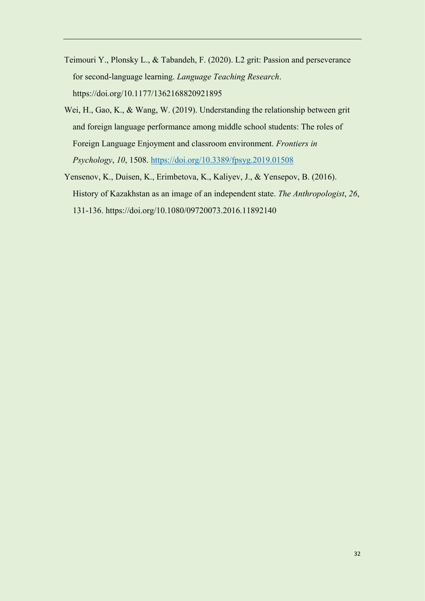- Teimouri Y., Plonsky L., & Tabandeh, F. (2020). L2 grit: Passion and perseverance for second-language learning. *Language Teaching Research*. https://doi.org/10.1177/1362168820921895
- Wei, H., Gao, K., & Wang, W. (2019). Understanding the relationship between grit and foreign language performance among middle school students: The roles of Foreign Language Enjoyment and classroom environment. *Frontiers in Psychology*, *10*, 1508.<https://doi.org/10.3389/fpsyg.2019.01508>
- Yensenov, K., Duisen, K., Erimbetova, K., Kaliyev, J., & Yensepov, B. (2016). History of Kazakhstan as an image of an independent state. *The Anthropologist*, *26*, 131-136. https://doi.org/10.1080/09720073.2016.11892140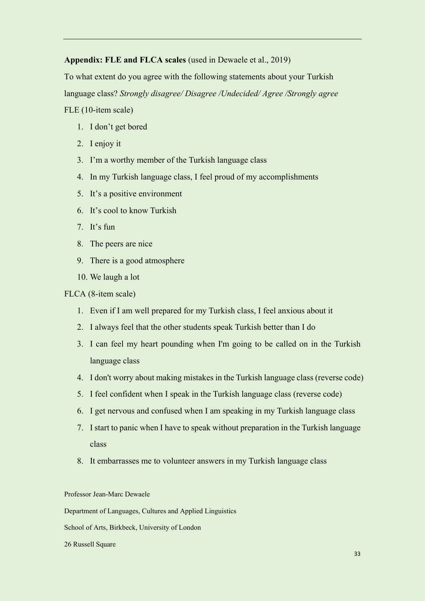# **Appendix: FLE and FLCA scales** (used in Dewaele et al., 2019)

To what extent do you agree with the following statements about your Turkish language class? *Strongly disagree/ Disagree /Undecided/ Agree /Strongly agree* FLE (10-item scale)

- 1. I don't get bored
- 2. I enjoy it
- 3. I'm a worthy member of the Turkish language class
- 4. In my Turkish language class, I feel proud of my accomplishments
- 5. It's a positive environment
- 6. It's cool to know Turkish
- 7. It's fun
- 8. The peers are nice
- 9. There is a good atmosphere
- 10. We laugh a lot

# FLCA (8-item scale)

- 1. Even if I am well prepared for my Turkish class, I feel anxious about it
- 2. I always feel that the other students speak Turkish better than I do
- 3. I can feel my heart pounding when I'm going to be called on in the Turkish language class
- 4. I don't worry about making mistakes in the Turkish language class (reverse code)
- 5. I feel confident when I speak in the Turkish language class (reverse code)
- 6. I get nervous and confused when I am speaking in my Turkish language class
- 7. I start to panic when I have to speak without preparation in the Turkish language class
- 8. It embarrasses me to volunteer answers in my Turkish language class

Professor Jean-Marc Dewaele

Department of Languages, Cultures and Applied Linguistics

School of Arts, Birkbeck, University of London

#### 26 Russell Square